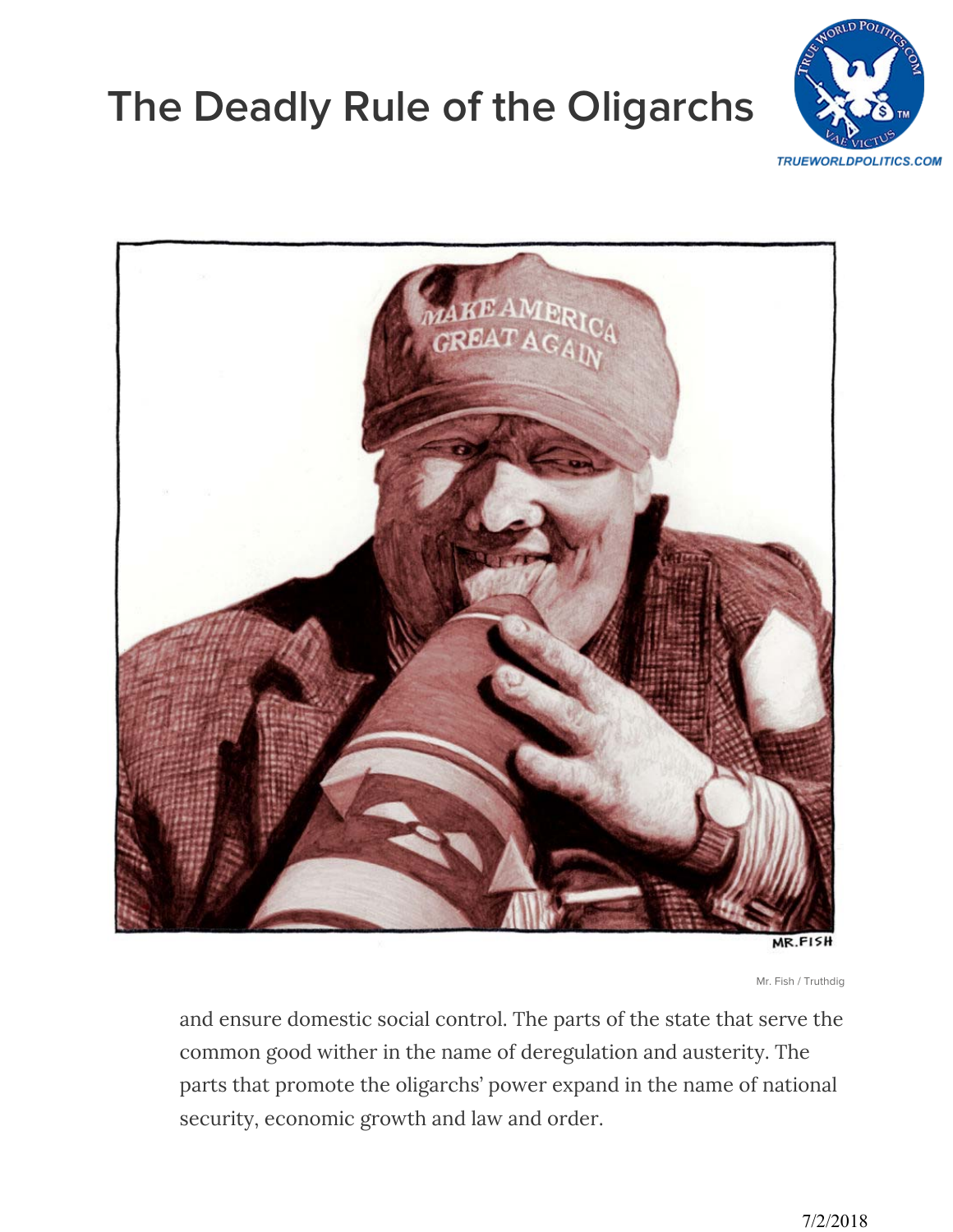## **[The Deadly Rule of the Oligarchs](https://www.truthdig.com/articles/deadly-rule-oligarchs/)**





MR.FISH

Mr. Fish / Truthdig

and ensure domestic social control. The parts of the state that serve the common good wither in the name of deregulation and austerity. The parts that promote the oligarchs' power expand in the name of national security, economic growth and law and order.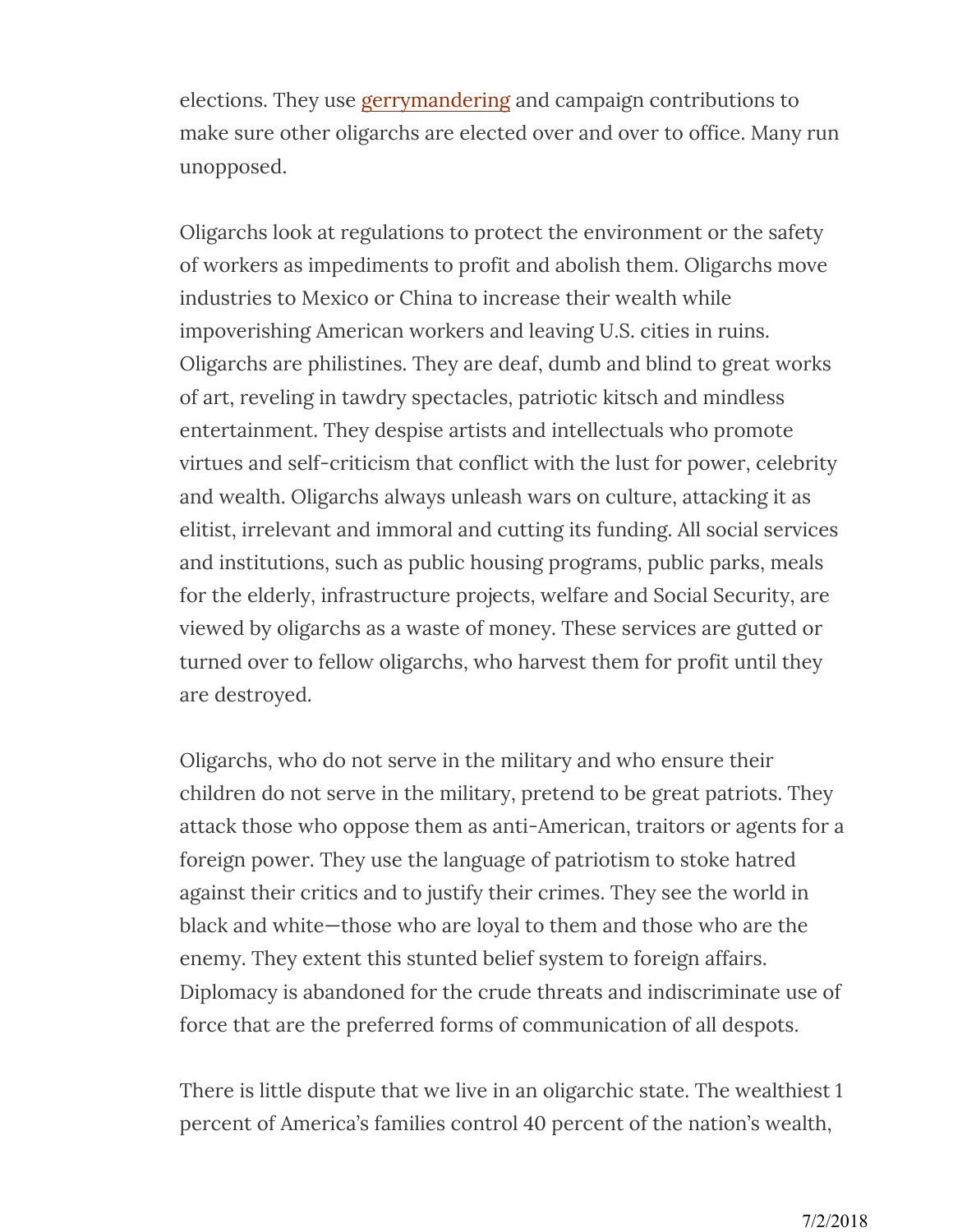elections. They use gerrymandering and campaign contributions to make sure other oligarchs are elected over and over to office. Many run unopposed.

Oligarchs look at regulations to protect the environment or the safety of workers as impediments to profit and abolish them. Oligarchs move industries to Mexico or China to increase their wealth while impoverishing American workers and leaving U.S. cities in ruins. Oligarchs are philistines. They are deaf, dumb and blind to great works of art, reveling in tawdry spectacles, patriotic kitsch and mindless entertainment. They despise artists and intellectuals who promote virtues and self-criticism that conflict with the lust for power, celebrity and wealth. Oligarchs always unleash wars on culture, attacking it as elitist, irrelevant and immoral and cutting its funding. All social services and institutions, such as public housing programs, public parks, meals for the elderly, infrastructure projects, welfare and Social Security, are viewed by oligarchs as a waste of money. These services are gutted or turned over to fellow oligarchs, who harvest them for profit until they are destroyed.

Oligarchs, who do not serve in the military and who ensure their children do not serve in the military, pretend to be great patriots. They attack those who oppose them as anti-American, traitors or agents for a foreign power. They use the language of patriotism to stoke hatred against their critics and to justify their crimes. They see the world in black and white—those who are loyal to them and those who are the enemy. They extent this stunted belief system to foreign affairs. Diplomacy is abandoned for the crude threats and indiscriminate use of force that are the preferred forms of communication of all despots.

There is little dispute that we live in an oligarchic state. The wealthiest 1 percent of America's families control 40 percent of the nation's wealth,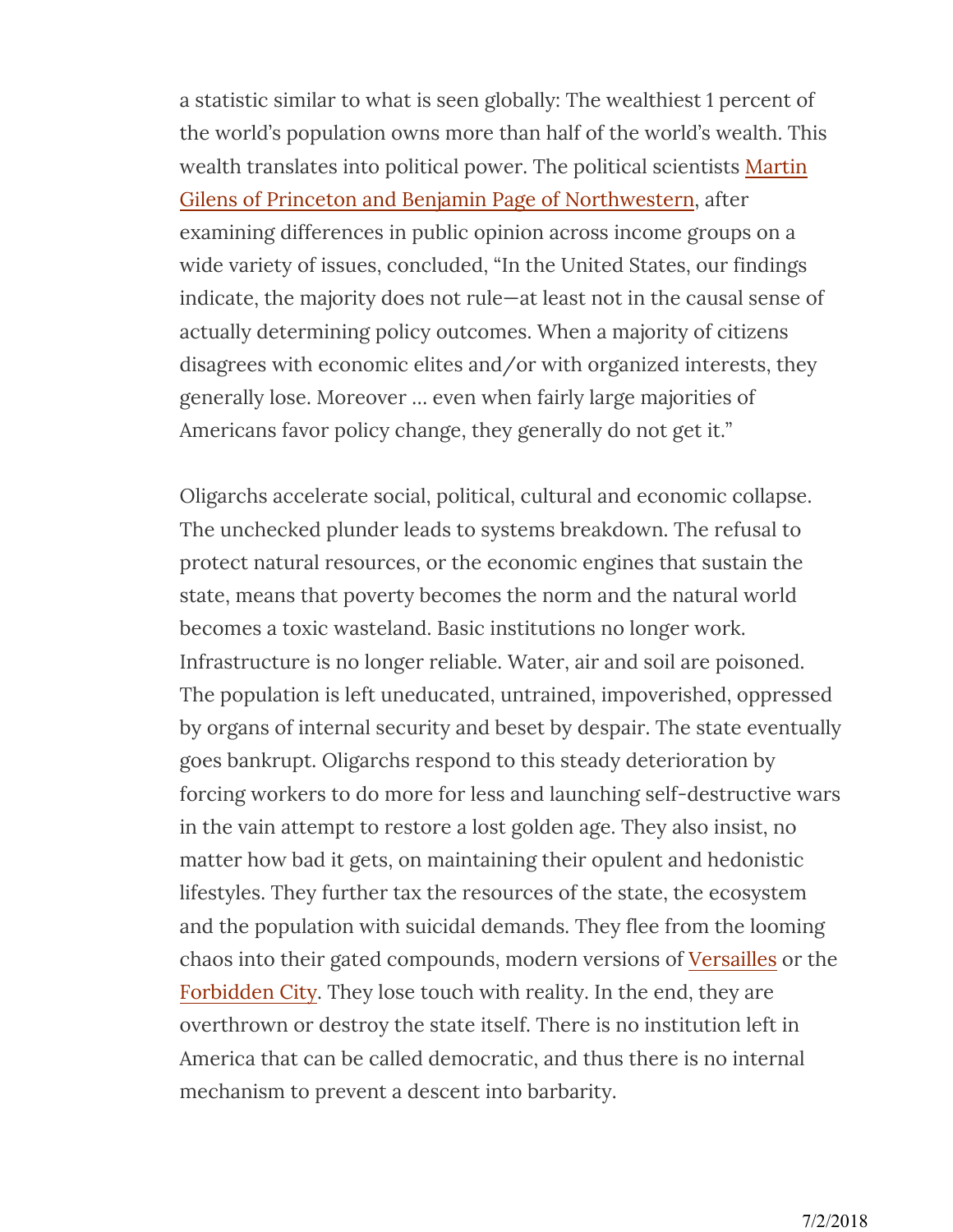a statistic similar to what is seen globally: The wealthiest 1 percent of the world's population owns more than half of the world's wealth. This wealth translates into political power. The political scientists Martin Gilens of Princeton and Benjamin Page of Northwestern, after examining differences in public opinion across income groups on a wide variety of issues, concluded, "In the United States, our findings indicate, the majority does not rule—at least not in the causal sense of actually determining policy outcomes. When a majority of citizens disagrees with economic elites and/or with organized interests, they generally lose. Moreover … even when fairly large majorities of Americans favor policy change, they generally do not get it."

Oligarchs accelerate social, political, cultural and economic collapse. The unchecked plunder leads to systems breakdown. The refusal to protect natural resources, or the economic engines that sustain the state, means that poverty becomes the norm and the natural world becomes a toxic wasteland. Basic institutions no longer work. Infrastructure is no longer reliable. Water, air and soil are poisoned. The population is left uneducated, untrained, impoverished, oppressed by organs of internal security and beset by despair. The state eventually goes bankrupt. Oligarchs respond to this steady deterioration by forcing workers to do more for less and launching self-destructive wars in the vain attempt to restore a lost golden age. They also insist, no matter how bad it gets, on maintaining their opulent and hedonistic lifestyles. They further tax the resources of the state, the ecosystem and the population with suicidal demands. They flee from the looming chaos into their gated compounds, modern versions of Versailles or the Forbidden City. They lose touch with reality. In the end, they are overthrown or destroy the state itself. There is no institution left in America that can be called democratic, and thus there is no internal mechanism to prevent a descent into barbarity.